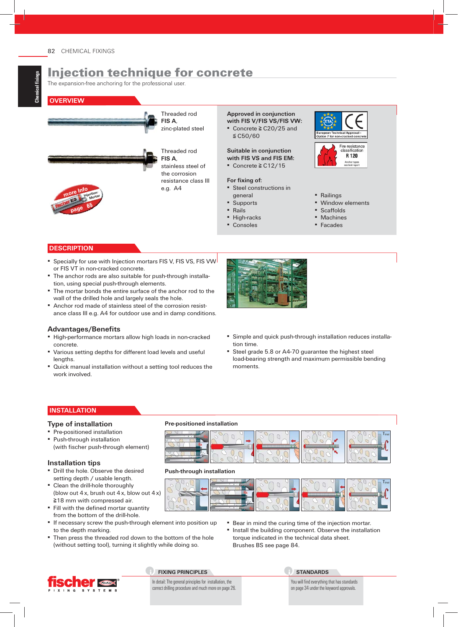# Injection technique for concrete

The expansion-free anchoring for the professional user.

#### **OVERVIEW**



Threaded rod

stainless steel of the corrosion resistance class III e.g. A4

**Approved in conjunction with FIS V/FIS VS/FIS VW:** ▪ Concrete ≧ C20/25 and

≦ C50/60

**Suitable in conjunction with FIS VS and FIS EM:** ▪ Concrete ≧ C12/15

#### For fixing of:

▪ Steel constructions in general

- Supports
- Rails
- High-racks
- Consoles



- Railings
- Window elements
- Scaffolds
- Machines
- Facades

#### **DESCRIPTION**

**more Info**

**Injection- Mortar 65**

**page**

- Specially for use with Injection mortars FIS V, FIS VS, FIS VW or FIS VT in non-cracked concrete.
- The anchor rods are also suitable for push-through installation, using special push-through elements.
- The mortar bonds the entire surface of the anchor rod to the wall of the drilled hole and largely seals the hole.
- Anchor rod made of stainless steel of the corrosion resistance class III e.g. A4 for outdoor use and in damp conditions.

#### **Advantages/Benefi ts**

- High-performance mortars allow high loads in non-cracked concrete.
- Various setting depths for different load levels and useful lengths.
- Quick manual installation without a setting tool reduces the work involved.



- **E** Simple and quick push-through installation reduces installation time.
- Steel grade 5.8 or A4-70 guarantee the highest steel load-bearing strength and maximum permissible bending moments.

#### **INSTALLATION**

#### **Type of installation**

- **Pre-positioned installation**
- Push-through installation (with fischer push-through element)

#### **Installation tips**

- **Drill the hole. Observe the desired** setting depth / usable length.
- Clean the drill-hole thoroughly (blow out 4x, brush out 4x, blow out 4x) ≧18 mm with compressed air.
- **Fill with the defined mortar quantity** from the bottom of the drill-hole.
- If necessary screw the push-through element into position up to the depth marking.
- Then press the threaded rod down to the bottom of the hole (without setting tool), turning it slightly while doing so.

**Pre-positioned installation**



#### **Push-through installation**



- **Bear in mind the curing time of the injection mortar.**
- Install the building component. Observe the installation torque indicated in the technical data sheet. Brushes BS see page 84.



#### **FIXING PRINCIPLES**

In detail: The general principles for installation, the correct drilling procedure and much more on page 26. **STANDARDS**

You will find everything that has standards on page 34 under the keyword approvals.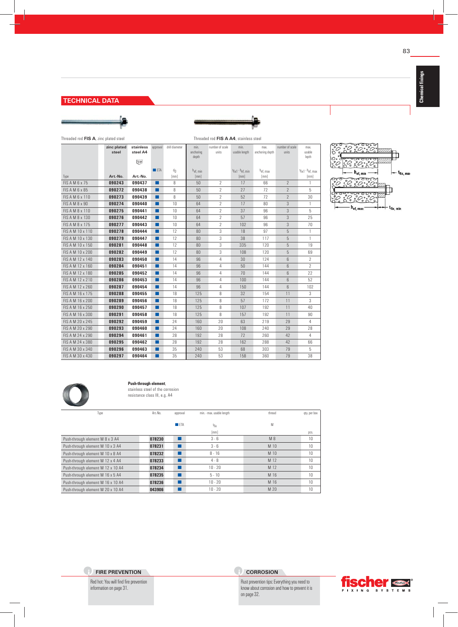#### **TECHNICAL DATA**



Threaded rod **FIS A**, zinc plated steel Threaded rod **FIS A A4**, stainless steel **zinc plated steel stainless steel A4**  $\begin{bmatrix} \text{Rong} \\ \text{FeB} \end{bmatrix}$ approval drill diameter min. anchoring depth number of scale units min. usable length max. anchoring depth number of scale units max. usable lepth ■ ETA d<sub>0</sub> h<sub>ef, min</sub> the min term of the min term of the min term of the min term of the min term of the min term of the min term of the min term of the min term of the min term of the min term of the min term of the min  $\begin{array}{ccc} \mathfrak{t}_{\mathsf{fix1}} \cdot \mathsf{h}_{\mathsf{ef, min}} & & \mathfrak{h}_{\mathsf{ef, max}} \\ \textbf{[mm]} & & \textbf{[mm]} \end{array}$  $t$ fix1 -  $h$ ef, max<br>[mm] Type **Art.-No. Art.-No.** [mm] [mm] [mm] [mm] [mm] FIS A M 6 x 75 **090243 090437 ■** 8 50 2 17 66 2 1 FIS A M 6 x 85 **090272 090438 ■** 8 50 2 27 72 2 5 FIS A M 6 x 110 **090273 090439 ■** 8 50 2 52 72 2 30 FIS A M 8 x 90 **090274 090440 ■** 10 64 2 17 80 3 1 FIS A M 8 x 110 **090275 090441 ■** 10 64 2 37 96 3 5 FIS A M 8 x 130 **090276 090442 ■** 10 64 2 57 96 3 25 FIS A M 8 x 175 **090277 090443 ■** 10 64 2 102 96 3 70 FIS A M 10 x 110 **090278 090444 ■** 12 80 3 18 97 5 1 FIS A M 10 x 130 **090279 090447 ■** 12 80 3 38 117 5 1 FIS A M 10 x 150 **090281 090448 ■** 12 80 3 335 120 5 19 FIS A M 10 x 200 **090282 090449 ■** 12 80 3 108 120 5 69 FIS A M 12 x 140 **090283 090450 ■** 14 96 4 30 124 6 2 FIS A M 12 x 160 **090284 090451 ■** 14 96 4 50 144 6 2 FIS A M 12 x 180 **090285 090452 ■** 14 96 4 70 144 6 22 FIS A M 12 x 210 **090286 090453 ■** 14 96 4 100 144 6 52 FIS A M 12 x 260 **090287 090454 ■** 14 96 4 150 144 6 102 FIS A M 16 x 175 **090288 090455 ■** 18 125 8 32 154 11 3 FIS A M 16 x 200 **090289 090456 ■** 18 125 8 57 172 11 3 FIS A M 16 x 250 **090290 090457 ■** 18 125 8 107 192 11 40 FIS A M 16 x 300 **090291 090458 ■** 18 125 8 157 192 11 90 FIS A M 20 x 245 **090292 090459 ■** 24 160 20 63 219 29 4 FIS A M 20 x 290 **090293 090460 ■** 24 160 20 108 240 29 28 FIS A M 24 x 290 **090294 090461 ■** 28 192 28 72 260 42 4 FIS A M 24 x 380 **090295 090462 ■** 28 192 28 162 288 42 66 FIS A M 30 x 340 **090296 090463 ■** 35 240 53 68 303 79 5 FIS A M 30 x 430 **090297 090464 ■** 35 240 53 158 360 79 38





#### **Push-through element**,

stainless steel of the corrosion resistance class III, e.g. A4

| Type                              | Art.-No. | approval  | min. - max. usable length | thread          | qty. per box |
|-----------------------------------|----------|-----------|---------------------------|-----------------|--------------|
|                                   |          | $F = ETA$ | t <sub>fix</sub>          | M               |              |
|                                   |          |           | [mm]                      |                 | pcs.         |
| Push-through element M 8 x 3 A4   | 078230   |           | $3 - 6$                   | M8              | 10           |
| Push-through element M 10 x 3 A4  | 078231   | ■         | $3 - 6$                   | M 10            | 10           |
| Push-through element M 10 x 8 A4  | 078232   | ▅         | $8 - 16$                  | M <sub>10</sub> | 10           |
| Push-through element M 12 x 4 A4  | 078233   | п         | $4 - 8$                   | M 12            | 10           |
| Push-through element M 12 x 10 A4 | 078234   | П         | $10 - 20$                 | M 12            | 10           |
| Push-through element M 16 x 5 A4  | 078235   | ▅         | $5 - 10$                  | M 16            | 10           |
| Push-through element M 16 x 10 A4 | 078236   | □         | $10 - 20$                 | M 16            | 10           |
| Push-through element M 20 x 10 A4 | 043906   |           | $10 - 20$                 | M 20            | 10           |

Red hot: You will find fire prevention information on page 31.

#### **CORROSION**

Rust prevention tips: Everything you need to know about corrosion and how to prevent it is on page 32.



83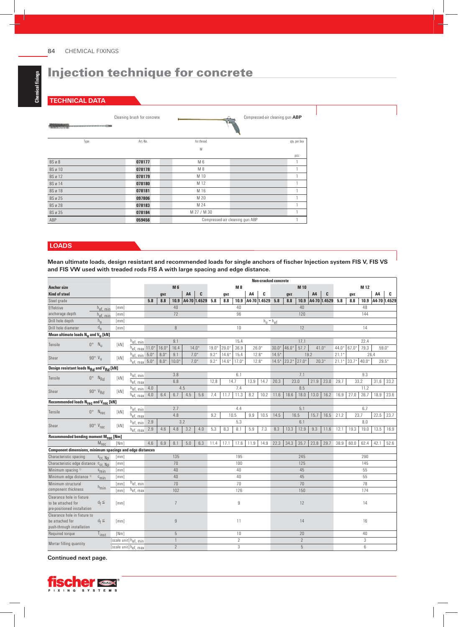# Injection technique for concrete

#### **TECHNICAL DATA**

|                | Cleaning brush for concrete |                                 | Compressed-air cleaning gun ABP |
|----------------|-----------------------------|---------------------------------|---------------------------------|
| Type           | Art.-No.                    | for thread                      | qty. per box                    |
|                |                             | M                               |                                 |
|                |                             |                                 | pcs.                            |
| BS ø 8         | 078177                      | M 6                             |                                 |
| <b>BS</b> ø 10 | 078178                      | M 8                             |                                 |
| <b>BS</b> ø 12 | 078179                      | M 10                            |                                 |
| <b>BS</b> ø 14 | 078180                      | M 12                            |                                 |
| <b>BS</b> ø 18 | 078181                      | M 16                            |                                 |
| <b>BS</b> ø 25 | 097806                      | M 20                            |                                 |
| <b>BS</b> ø 28 | 078183                      | M 24                            |                                 |
| <b>BS</b> ø 35 | 078184                      | M 27 / M 30                     |                                 |
| ABP            | 059456                      | Compressed-air cleaning gun ABP |                                 |

#### **LOADS**

Mean ultimate loads, design resistant and recommended loads for single anchors of fischer Injection system FIS V, FIS VS **and FIS VW used with treaded rods FIS A with large spacing and edge distance.**

|                                                                  |                             |                       |                              |     |         |                |                  |     |        |         |                  |                | <b>Non-cracked concrete</b>                             |         |               |                |                |                  |                      |         |                 |                |      |
|------------------------------------------------------------------|-----------------------------|-----------------------|------------------------------|-----|---------|----------------|------------------|-----|--------|---------|------------------|----------------|---------------------------------------------------------|---------|---------------|----------------|----------------|------------------|----------------------|---------|-----------------|----------------|------|
| <b>Anchor size</b>                                               |                             |                       |                              |     |         | <b>M6</b>      |                  |     |        |         | <b>M8</b>        |                |                                                         |         |               | M 10           |                |                  |                      |         | M 12            |                |      |
| <b>Kind of steel</b>                                             |                             |                       |                              |     | gvz     |                | A4               | C   |        | gvz     |                  | A <sub>4</sub> | C                                                       |         | gvz           |                | A <sub>4</sub> | C                |                      | gvz     |                 | A <sub>4</sub> | c    |
| Steel grade                                                      |                             |                       |                              | 5.8 | 8.8     | 10.9           | A4-70 1.4529 5.8 |     |        | 8.8     | 10.9             |                | A4-70 1.4529 5.8                                        |         | 8.8           | 10.9           |                | A4-70 1.4529 5.8 |                      | 8.8     | 10.9            | A4-70 1.4529   |      |
| Effektive                                                        | $h_{ef, min}$               | [mm]                  |                              |     |         | 40             |                  |     |        |         | 40               |                |                                                         |         |               | 40             |                |                  |                      |         | 48              |                |      |
| anchorage depth                                                  | $h_{ef, min}$               | [mm]                  |                              |     |         | 72             |                  |     |        |         | 96               |                |                                                         |         |               | 120            |                |                  |                      |         | 144             |                |      |
| Drill hole depth                                                 | $h_{0}$                     | [mm]                  |                              |     |         |                |                  |     |        |         |                  |                | $h_0 = h_{ef}$                                          |         |               |                |                |                  |                      |         |                 |                |      |
| Drill hole diameter                                              | $d_{0}$                     | [mm]                  |                              |     |         | $\, 8$         |                  |     |        |         | 10               |                |                                                         |         |               | 12             |                |                  |                      |         | 14              |                |      |
| Mean ultimate loads N <sub>11</sub> and V <sub>11</sub> [kN]     |                             |                       |                              |     |         |                |                  |     |        |         |                  |                |                                                         |         |               |                |                |                  |                      |         |                 |                |      |
| Tensile                                                          | $0^\circ$ $N_{\rm H}$       | [kN]                  | h <sub>ef, min</sub>         |     |         | 9.1            |                  |     | 15.4   |         |                  |                |                                                         |         |               | 17.1           |                |                  | 22.4                 |         |                 |                |      |
|                                                                  |                             |                       | $h_{ef, max}$ 11.0*          |     | $16.0*$ | 16.4           | $14.0*$          |     | 19.0   | $29.0*$ | 36.9             |                | 57.7<br>$46.0*$<br>$26.0*$<br>$30.0^{\circ}$<br>$41.0*$ |         |               |                | $44.0^{\circ}$ | 67.0*            | 79.3                 | $59.0*$ |                 |                |      |
| Shear                                                            | $90^\circ$ V <sub>II</sub>  | [kN]                  | $h_{ef, min}$ 5.0*           |     | $8.0*$  | 9.1            | $7.0*$           |     | $9.2*$ | $14.6*$ | 15.4             | $12.8*$        |                                                         | $14.5*$ |               |                | 19.2           |                  | 21.1                 |         | 26.4            |                |      |
|                                                                  |                             |                       | $h_{ef, max}$ 5.0*           |     | $8.0*$  | $10.0*$        | $7.0*$           |     | $9.2*$ | $14.6*$ | $17.0*$          | $12.8*$        |                                                         | $14.5*$ | $23.2*$ 27.0* |                |                | $20.3*$          | $21.1*$              | $33.7*$ | $40.0*$         | $29.5*$        |      |
| Design resistant loads N <sub>Rd</sub> and V <sub>Rd</sub> [kN]  |                             |                       |                              |     |         |                |                  |     |        |         |                  |                |                                                         |         |               |                |                |                  |                      |         |                 |                |      |
| Tensile                                                          | $0^\circ$ N <sub>Rd</sub>   |                       | h <sub>ef, min</sub><br>[kN] |     |         | 3.8            |                  |     |        |         | 6.1              |                |                                                         |         |               | 7.1            |                |                  |                      |         | 9.3             |                |      |
|                                                                  |                             |                       | h <sub>ef, max</sub>         |     |         | 6.8            |                  |     | 12.8   | 14.7    |                  | 13.9           | 14.7                                                    | 20.3    | 23.0          |                | 21.9           | 23.0             | 29.7                 | 33.2    |                 | 31.6           | 33.2 |
| Shear                                                            | $90^\circ$ $V_{Rd}$         | [kN]                  | $h_{ef, min}$ 4.0            |     |         |                | 4.5              |     |        |         | 7.4              |                |                                                         |         |               | 8.5            |                |                  | 11.2                 |         |                 |                |      |
|                                                                  |                             |                       | $h_{ef, max}$                | 4.0 | 6.4     | 6.7            | 4.5              | 5.6 | 7.4    | 11.7    | 11.3             | 8.2            | 10.2                                                    | 11.6    | 18.6          | 18.0           | 13.0           | 16.2             | 16.9                 | 27.0    | 26.7            | 18.9           | 23.6 |
| Recommended loads N <sub>rec</sub> and V <sub>rec</sub> [kN]     |                             |                       |                              |     |         |                |                  |     |        |         |                  |                |                                                         |         |               |                |                |                  |                      |         |                 |                |      |
| Tensile                                                          | $0^{\circ}$ $N_{rec}$       | [kN]                  | h <sub>ef, min</sub>         |     |         | 2.7            |                  |     | 4.4    |         |                  |                |                                                         | 5.1     |               |                |                |                  |                      |         | 6.7             |                |      |
|                                                                  |                             |                       | $h_{ef. max}$                |     |         | 4.8            |                  |     | 9.2    |         | 10.5             | 9.9            | 10.5                                                    | 14.5    | 16.5          |                | 15.7           | 16.5             | 21.2<br>23.7<br>22.5 |         |                 |                | 23.7 |
| Shear                                                            | $90^\circ$ V <sub>rec</sub> | [kN]                  | $h_{ef, min}$                | 2.9 |         |                | 3.2              |     | 5.3    |         |                  |                | 6.1                                                     |         |               |                |                |                  |                      | 8.0     |                 |                |      |
|                                                                  |                             |                       | $h_{ef, max}$ 2.9            |     | 4.6     | 4.8            | 3.2              | 4.0 | 5.3    | 8.3     | 8.1              | 5.9            | 7.3                                                     | 8.3     | 13.3          | 12.9           | 9.3            | 11.6             | 12.1                 | 19.3    | 19.0            | 13.5           | 16.9 |
| Recommended bending moment M <sub>rec</sub> [Nm]                 |                             |                       |                              |     |         |                |                  |     |        |         |                  |                |                                                         |         |               |                |                |                  |                      |         |                 |                |      |
|                                                                  | $M_{rec}$                   | [Nm]                  |                              | 4.6 | 6.9     | 8.1            | 5.0              | 6.3 | 11.4   | 17.1    | 17.6             | 11.9           | 14.9                                                    | 22.3    | 34.3          | 35.7           | 23.8           | 29.7             | 38.9                 | 60.0    | 62.4            | 42.1           | 52.6 |
| <b>Component dimensions, minimum spacings and edge distances</b> |                             |                       |                              |     |         |                |                  |     |        |         |                  |                |                                                         |         |               |                |                |                  |                      |         |                 |                |      |
| Characteristic spacing                                           | $s_{cr.}$ Np                | $\lceil mm \rceil$    |                              |     |         | 135            |                  |     |        |         | 195              |                |                                                         |         |               | 245            |                |                  |                      |         | 290             |                |      |
| Characteristic edge distance Ccr, Np                             |                             | [mm]                  |                              |     |         | 70             |                  |     |        |         | 100              |                |                                                         |         |               | 125            |                |                  |                      |         | 145             |                |      |
| Minimum spacing <sup>1)</sup>                                    | <sup>S</sup> min            | [mm]                  |                              |     |         | 40             |                  |     |        |         | 40               |                |                                                         |         |               | 45             |                |                  |                      |         | 55              |                |      |
| Minimum edge distance <sup>1)</sup>                              | $c_{\min}$                  | [mm]                  |                              |     |         | 40             |                  |     |        |         | 40               |                |                                                         |         |               | 45             |                |                  |                      |         | 55              |                |      |
| Minimum structural                                               |                             | [mm]                  | $\bar{h}_{ef, min}$          |     |         | 70             |                  |     |        |         | 70               |                |                                                         |         |               | 70             |                |                  |                      |         | 78              |                |      |
| component thickness                                              | $h_{\text{min}}$            | [mm]                  | h <sub>ef, max</sub>         |     |         | 102            |                  |     |        |         | 126              |                |                                                         |         |               | 150            |                |                  |                      |         | 174             |                |      |
| Clearance hole in fixture<br>to be attached for                  | $d_f \leq$                  | [mm]                  |                              |     |         | $\overline{7}$ |                  |     |        |         | $\boldsymbol{9}$ |                |                                                         |         |               | 12             |                |                  |                      |         | 14              |                |      |
| pre-positioned installation                                      |                             |                       |                              |     |         |                |                  |     |        |         |                  |                |                                                         |         |               |                |                |                  |                      |         |                 |                |      |
| Clearance hole in fixture to<br>be attached for                  | $d_f \leq$                  | [mm]                  |                              |     |         | $\overline{9}$ |                  |     |        |         | 11               |                |                                                         |         |               | 14             |                |                  | 16                   |         |                 |                |      |
| push-through installation                                        |                             |                       |                              |     |         |                |                  |     |        |         |                  |                |                                                         |         |               |                |                |                  |                      |         |                 |                |      |
| Required torque                                                  | $T_{inst}$                  | [Nm]                  |                              |     |         | $\overline{5}$ |                  |     |        |         | 10               |                |                                                         |         |               | 20             |                |                  |                      |         | 40              |                |      |
|                                                                  |                             | [scale unit] hef, min |                              |     |         | $\mathbf{1}$   |                  |     |        |         | $\overline{2}$   |                |                                                         |         |               | $\overline{2}$ |                |                  |                      |         | 3               |                |      |
| Mortar filling quantity                                          |                             |                       | [scale unit]hef, max         |     |         | $\overline{2}$ |                  |     |        |         | 3                |                |                                                         |         |               | $\overline{5}$ |                |                  |                      |         | $6\overline{6}$ |                |      |

#### **Continued next page.**

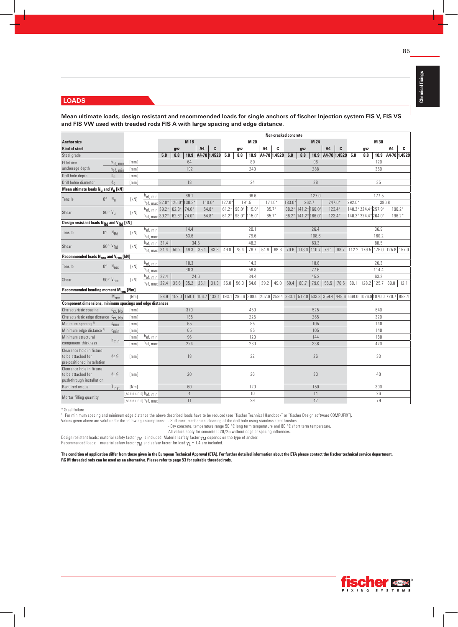#### **LOADS**

Mean ultimate loads, design resistant and recommended loads for single anchors of fischer Injection system FIS V, FIS VS and FIS VW used with treaded rods FIS A with large spacing and edge distance.

|                                                                              |                              |                    |                                  |      |         |                |                  |         |         |         |       |          | <b>Non-cracked concrete</b> |         |      |               |          |                       |                                                                                                                     |       |             |      |                   |
|------------------------------------------------------------------------------|------------------------------|--------------------|----------------------------------|------|---------|----------------|------------------|---------|---------|---------|-------|----------|-----------------------------|---------|------|---------------|----------|-----------------------|---------------------------------------------------------------------------------------------------------------------|-------|-------------|------|-------------------|
| <b>Anchor size</b>                                                           |                              |                    |                                  |      |         | M 16           |                  |         |         |         | M 20  |          |                             |         |      | M 24          |          |                       |                                                                                                                     |       | M 30        |      |                   |
| <b>Kind of steel</b>                                                         |                              |                    |                                  |      | gvz     |                | A4               | C       |         | gvz     |       | A4       | C                           |         | gvz  |               | A4       | C                     |                                                                                                                     | qvz   |             | A4   | c                 |
| Steel grade                                                                  |                              |                    |                                  | 5.8  | 8.8     | 10.9           | A4-70 1.4529 5.8 |         |         | 8.8     | 10.9  |          | A4-70 1.4529 5.8            |         | 8.8  |               |          | 10.9 A4-70 1.4529 5.8 |                                                                                                                     | 8.8   | 10.9        |      | A4-70 1.4529      |
| Effektive                                                                    | $h_{ef, min}$                | [mm]               |                                  |      |         | 64             |                  |         |         |         | 80    |          |                             |         |      | 96            |          |                       |                                                                                                                     |       | 120         |      |                   |
| anchorage depth                                                              | $h_{ef, min}$                | [mm]               |                                  |      |         | 192            |                  |         |         |         | 240   |          |                             |         |      | 288           |          |                       |                                                                                                                     |       | 360         |      |                   |
| Drill hole depth                                                             | $h_{0}$                      | [mm]               |                                  |      |         |                |                  |         |         |         |       |          |                             |         |      |               |          |                       |                                                                                                                     |       |             |      |                   |
| Drill holöe diameter                                                         | $d_0$                        | [mm]               |                                  |      |         | 18             |                  |         |         |         | 24    |          |                             |         |      | 28            |          |                       |                                                                                                                     |       | 35          |      |                   |
| Mean ultimate loads $N_{11}$ and $V_{11}$ [kN]                               |                              |                    |                                  |      |         |                |                  |         |         |         |       |          |                             |         |      |               |          |                       |                                                                                                                     |       |             |      |                   |
| Tensile                                                                      | $0^\circ$ N <sub>II</sub>    | [kN]               | $h_{ef, min}$                    |      |         | 69.1           |                  |         |         |         | 96.6  |          |                             |         |      | 127.0         |          |                       |                                                                                                                     |       | 177.5       |      |                   |
|                                                                              |                              |                    | $h_{ef, max}$ 82.0*              |      | 126.0   | 130.3          | $110.0*$         |         | 127.0   |         | 191.5 | $171.0*$ |                             | 183.0   |      | 262.7         | $247.0*$ |                       | 292.0                                                                                                               |       | 386.8       |      |                   |
| Shear                                                                        | $90^\circ$ V <sub>II</sub>   | [kN]               | $h_{ef. min}$ 39.2*              |      | $62.8*$ | $74.0*$        | $54.8*$          |         | $61.2*$ | $98.0*$ | 115.0 | $85.7*$  |                             | 88.2    |      | 141.2* 166.0* |          | $123.4*$              | 140.2* 224.4                                                                                                        |       | 257.9       |      | 196.2*            |
|                                                                              |                              |                    | $h_{ef, max}$ 39.2*              |      | 62.8*   | $74.0*$        |                  | $54.8*$ | $61.2*$ | $98.0*$ | 115.0 | $85.7*$  |                             | $88.2*$ |      | 141.2* 166.0* |          | $123.4*$              | 140.2* 224.4* 264.0*                                                                                                |       |             |      | $196.2*$          |
| Design resistant loads N <sub>Rd</sub> and V <sub>Rd</sub> [kN]              |                              |                    |                                  |      |         |                |                  |         |         |         |       |          |                             |         |      |               |          |                       |                                                                                                                     |       |             |      |                   |
| Tensile                                                                      | $0^\circ$ $N_{Rd}$           | [kN]               | h <sub>ef, min</sub>             |      |         | 14.4           |                  |         |         |         | 20.1  |          |                             |         |      | 26.4          |          |                       |                                                                                                                     |       | 36.9        |      |                   |
|                                                                              |                              |                    | $h_{ef, max}$                    |      |         | 53.6           |                  |         |         |         | 79.6  |          |                             |         |      | 108.6         |          |                       |                                                                                                                     |       | 160.2       |      |                   |
| Shear                                                                        | $90^\circ$ V <sub>Rd</sub>   | <b>TkN1</b>        | $h_{ef, min}$ 31.4               |      |         |                | 34.5             |         |         |         | 48.2  |          |                             |         |      | 63.3          |          |                       |                                                                                                                     |       | 88.5        |      |                   |
|                                                                              |                              |                    | $h_{\text{ef. max}}$ 31.4        |      | 50.2    | 49.3           | 35.1             | 43.8    | 49.0    | 78.4    | 76.7  | 54.9     | 68.6                        | 70.6    |      | $113.0$ 110.7 | 79.1     | 98.7                  | 112.2                                                                                                               | 179.5 |             |      | 176.0 125.8 157.0 |
| Recommended loads N <sub>rec</sub> and V <sub>rec</sub> [kN]                 |                              |                    |                                  |      |         |                |                  |         |         |         |       |          |                             |         |      |               |          |                       |                                                                                                                     |       |             |      |                   |
| Tensile                                                                      | $0^\circ$ $N_{rec}$          | [kN]               | h <sub>ef, min</sub>             |      |         | 10.3           |                  |         |         |         | 14.3  |          |                             |         |      | 18.8          |          |                       |                                                                                                                     |       | 26.3        |      |                   |
|                                                                              |                              |                    | $h_{ef. max}$                    |      |         | 38.3           |                  |         |         |         | 56.8  |          |                             |         |      | 77.6          |          |                       |                                                                                                                     |       | 114.4       |      |                   |
| Shear                                                                        | $90^\circ$ $V_{rec}$         | [kN]               | $h_{ef, min}$ 22.4               |      |         |                | 24.6             |         |         |         | 34.4  |          |                             |         |      | 45.2          |          |                       |                                                                                                                     |       | 63.2        |      |                   |
|                                                                              |                              |                    | $h_{ef, max}$ 22.4               |      | 35.6    | 35.2           | 25.1             | 31.3    | 35.0    | 56.0    | 54.8  | 39.2     | 49.0                        | 50.4    | 80.7 | 79.0          | 56.5     | 70.5                  | 80.1                                                                                                                |       | 128.2 125.7 | 89.8 | 12.1              |
| Recommended bending moment Mrec [Nm]                                         |                              |                    |                                  |      |         |                |                  |         |         |         |       |          |                             |         |      |               |          |                       |                                                                                                                     |       |             |      |                   |
|                                                                              | M <sub>rec</sub>             | [Nm]               |                                  | 98.9 |         |                |                  |         |         |         |       |          |                             |         |      |               |          |                       | 152.0 158.1 106.7 133.1 193.1 296.6 308.6 207.9 259.4 333.1 512.0 533.3 359.4 448.6 668.0 1026.9 1070.0 720.7 899.4 |       |             |      |                   |
| Component dimensions, minimum spacings and edge distances                    |                              |                    |                                  |      |         |                |                  |         |         |         |       |          |                             |         |      |               |          |                       |                                                                                                                     |       |             |      |                   |
| Characteristic spacing                                                       | $s_{cr}$ , Np                | $\lceil mm \rceil$ |                                  |      |         | 370            |                  |         |         |         | 450   |          |                             |         |      | 525           |          |                       |                                                                                                                     |       | 640         |      |                   |
| Characteristic edge distance Ccr, Np                                         |                              | [mm]               |                                  |      |         | 185            |                  |         |         |         | 225   |          |                             |         |      | 265           |          |                       |                                                                                                                     |       | 320         |      |                   |
| Minimum spacing <sup>1)</sup>                                                | <sup>S</sup> min             | [mm]               |                                  |      |         | 65             |                  |         |         |         | 85    |          |                             |         |      | 105           |          |                       |                                                                                                                     |       | 140         |      |                   |
| Minimum edge distance 1)                                                     | $c_{\text{min}}$             | [mm]               |                                  |      |         | 65             |                  |         |         |         | 85    |          |                             |         |      | 105           |          |                       |                                                                                                                     |       | 140         |      |                   |
| Minimum structural                                                           | h <sub>min</sub>             | [mm]               | h <sub>ef, min</sub>             |      |         | 96             |                  |         |         |         | 120   |          |                             |         |      | 144           |          |                       |                                                                                                                     |       | 180         |      |                   |
| component thickness                                                          |                              | [mm]               | $h_{ef, max}$                    |      |         | 224            |                  |         |         |         | 280   |          |                             |         |      | 336           |          |                       |                                                                                                                     |       | 420         |      |                   |
| Clearance hole in fixture<br>to be attached for                              | $d_f \leq$                   | [mm]               |                                  |      |         | 18             |                  |         |         |         | 22    |          |                             |         |      | 26            |          |                       |                                                                                                                     |       | 33          |      |                   |
| pre-positioned installation                                                  |                              |                    |                                  |      |         |                |                  |         |         |         |       |          |                             |         |      |               |          |                       |                                                                                                                     |       |             |      |                   |
| Clearance hole in fixture<br>to be attached for<br>push-through installation | $d_f \leq$                   | [mm]               |                                  |      |         | 20             |                  |         |         |         | 26    |          |                             |         |      | 30            |          |                       |                                                                                                                     |       | 40          |      |                   |
| Required torque                                                              | $\mathsf{r}_{\mathsf{inst}}$ | [Nm]               |                                  |      |         | 60             |                  |         |         |         | 120   |          |                             |         |      | 150           |          |                       |                                                                                                                     |       | 300         |      |                   |
|                                                                              |                              |                    | [scale unit] hef, min            |      |         | $\overline{4}$ |                  |         |         |         | 10    |          |                             |         |      | 14            |          |                       |                                                                                                                     |       | 26          |      |                   |
| Mortar filling quantity                                                      |                              |                    | [scale unit]h <sub>ef. max</sub> |      |         | 11             |                  |         |         |         | 29    |          |                             |         |      | 42            |          |                       |                                                                                                                     |       | 79          |      |                   |

 $^\star$  Steel failure

 $\,$  For minimum spacing and minimum edge distance the above described loads have to be reduced (see "fischer Technical Handbook" or "fischer Design software COMPUFIX"). Values given above are valid under the following as

- Dry concrete, temperature range 50 °C long term temperature and 80 °C short term temperature.

All values apply for concrete C 20/25 without edge or spacing influences.

Design resistant loads: material safety factor  $\gamma_M$  is included. Material safety factor  $\gamma_M$  depends on the type of anchor.

Recommended loads: material safety factor  $\gamma_M$  and safety factor for load  $\gamma_L$  = 1.4 are included.

The condition of application differ from those given in the European Technical Approval (ETA). For further detailed information about the ETA please contact the fischer technical service department. RG M threaded rods can be used as an alternative. Please refer to page 53 for suitable threaded rods.

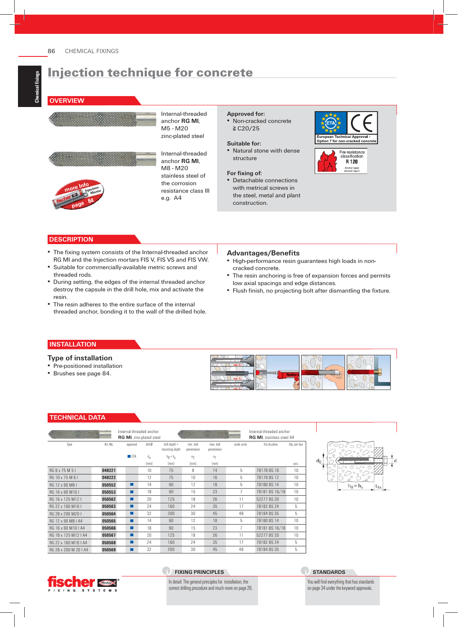### **OVERVIEW**



Internal-threaded anchor **RG MI**, M5 - M20 zinc-plated steel

Internal-threaded anchor **RG MI**, M8 - M20 stainless steel of the corrosion resistance class III e.g. A4

### **Approved for:**

▪ Non-cracked concrete ≧ C20/25

#### **Suitable for:**

▪ Natural stone with dense structure

#### For fixing of:

▪ Detachable connections with metrical screws in the steel, metal and plant construction.



## **DESCRIPTION**

- **The fixing system consists of the Internal-threaded anchor** RG MI and the Injection mortars FIS V, FIS VS and FIS VW.
- Suitable for commercially-available metric screws and threaded rods.
- During setting, the edges of the internal threaded anchor destroy the capsule in the drill hole, mix and activate the resin.
- The resin adheres to the entire surface of the internal threaded anchor, bonding it to the wall of the drilled hole.

#### **Advantages/Benefi ts**

- High-performance resin guarantees high loads in noncracked concrete.
- **The resin anchoring is free of expansion forces and permits** low axial spacings and edge distances.
- **·** Flush finish, no projecting bolt after dismantling the fixture.

#### **INSTALLATION**

#### **Type of installation**

- **Pre-positioned installation**
- Brushes see page 84.



#### **TECHNICAL DATA**

|                      |          | Internal-threaded anchor<br>RG MI, zinc-plated steel |              |                                     |                          |                          | Internal-threaded anchor<br><b>RG MI.</b> stainless steel A4 |                |              |  |
|----------------------|----------|------------------------------------------------------|--------------|-------------------------------------|--------------------------|--------------------------|--------------------------------------------------------------|----------------|--------------|--|
| Type                 | Art -No. | approval                                             | drill-Ø      | $drill$ depth $=$<br>mounting depth | min. bolt<br>penetration | max. holt<br>penetration | scale units                                                  | fits brushes   | Oty. per box |  |
|                      |          | FFA                                                  | $d_{\rm{n}}$ | $h_{\Pi} = h_{S}$                   | e <sub>2</sub>           | e <sub>1</sub>           |                                                              |                |              |  |
|                      |          |                                                      | [mm]         | [mm]                                | [mm]                     | [mm]                     |                                                              |                | pcs.         |  |
| BG 8 x 75 M 5 L      | 048221   |                                                      | 10           | 75                                  | 8                        | 14                       | 5                                                            | 78178 BS 10    | 10           |  |
| RG 10 x 75 M 6 I     | 048222   |                                                      | 12           | 75                                  | 10                       | 16                       | 5                                                            | 78179 BS 12    | 10           |  |
| RG 12 x 90 M8 L      | 050552   | ■                                                    | 14           | 90                                  | 12                       | 18                       | 5                                                            | 78180 BS 14    | 10           |  |
| BG 16 x 90 M 10 L    | 050553   | ■                                                    | 18           | 90                                  | 15                       | 23                       | 7                                                            | 78181 BS 16/18 | 10           |  |
| RG 16 x 125 M12 I    | 050562   | ■                                                    | 20           | 125                                 | 18                       | 26                       | 11                                                           | 52277 BS 20    | 10           |  |
| BG 22 x 160 M16 L    | 050563   | ■                                                    | 24           | 160                                 | 24                       | 35                       | 17                                                           | 78182 BS 24    | 5            |  |
| RG 28 x 200 M20 I    | 050564   | ■                                                    | 32           | 200                                 | 30                       | 45                       | 48                                                           | 78184 BS 35    | 5            |  |
| BG 12 x 90 M8 LA4    | 050565   | ■                                                    | 14           | 90                                  | 12                       | 18                       | 5                                                            | 78180 BS 14    | 10           |  |
| RG 16 x 90 M10 LA4   | 050566   | ■                                                    | 18           | 90                                  | 15                       | 23                       | 7                                                            | 78181 BS 16/18 | 10           |  |
| RG 18 x 125 M12   A4 | 050567   | ■                                                    | 20           | 125                                 | 18                       | 26                       | 11                                                           | 52277 BS 20    | 10           |  |
| RG 22 x 160 M16   A4 | 050568   | ■                                                    | 24           | 160                                 | 24                       | 35                       | 17                                                           | 78182 BS 24    | 5            |  |
| BG 28 x 200 M 20 LA4 | 050569   | ■                                                    | 32           | 200                                 | 30                       | 45                       | 48                                                           | 78184 BS 35    | 5            |  |



#### **FIXING PRINCIPLES**

In detail: The general principles for installation, the correct drilling procedure and much more on page 26.

#### **STANDARDS**

You will find everything that has standards on page 34 under the keyword approvals.